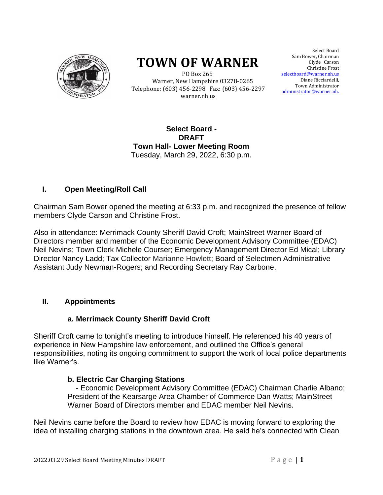

# **TOWN OF WARNER**

 PO Box 265 Warner, New Hampshire 03278-0265 Telephone: (603) 456-2298 Fax: (603) 456-2297 warner.nh.us

Select Board Sam Bower, Chairman Clyde Carson Select Board<br>wer, Chairman<br>Clyde Carson<br>Christine Frost selectboard@warner.nh.us Diane Ricciardelli, Town Administrator <u>istrator@warner.nh.</u> Town Administrator<br>administrator@warner.nh.

#### **Select Board - DRAFT Town Hall- Lower Meeting Room** Tuesday, March 29, 2022, 6:30 p.m.

# **I. Open Meeting/Roll Call**

Chairman Sam Bower opened the meeting at 6:33 p.m. and recognized the presence of fellow members Clyde Carson and Christine Frost.

Also in attendance: Merrimack County Sheriff David Croft; MainStreet Warner Board of Directors member and member of the Economic Development Advisory Committee (EDAC) Neil Nevins; Town Clerk Michele Courser; Emergency Management Director Ed Mical; Library Director Nancy Ladd; Tax Collector Marianne Howlett; Board of Selectmen Administrative Assistant Judy Newman-Rogers; and Recording Secretary Ray Carbone.

# **II. Appointments**

# **a. Merrimack County Sheriff David Croft**

Sheriff Croft came to tonight's meeting to introduce himself. He referenced his 40 years of experience in New Hampshire law enforcement, and outlined the Office's general responsibilities, noting its ongoing commitment to support the work of local police departments like Warner's.

# **b. Electric Car Charging Stations**

 - Economic Development Advisory Committee (EDAC) Chairman Charlie Albano; President of the Kearsarge Area Chamber of Commerce Dan Watts; MainStreet Warner Board of Directors member and EDAC member Neil Nevins.

Neil Nevins came before the Board to review how EDAC is moving forward to exploring the idea of installing charging stations in the downtown area. He said he's connected with Clean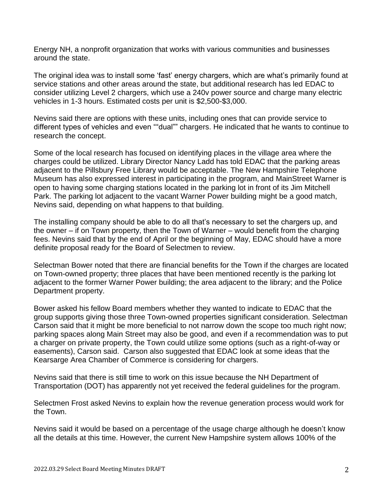Energy NH, a nonprofit organization that works with various communities and businesses around the state.

The original idea was to install some 'fast' energy chargers, which are what's primarily found at service stations and other areas around the state, but additional research has led EDAC to consider utilizing Level 2 chargers, which use a 240v power source and charge many electric vehicles in 1-3 hours. Estimated costs per unit is \$2,500-\$3,000.

Nevins said there are options with these units, including ones that can provide service to different types of vehicles and even ""dual"" chargers. He indicated that he wants to continue to research the concept.

Some of the local research has focused on identifying places in the village area where the charges could be utilized. Library Director Nancy Ladd has told EDAC that the parking areas adjacent to the Pillsbury Free Library would be acceptable. The New Hampshire Telephone Museum has also expressed interest in participating in the program, and MainStreet Warner is open to having some charging stations located in the parking lot in front of its Jim Mitchell Park. The parking lot adjacent to the vacant Warner Power building might be a good match, Nevins said, depending on what happens to that building.

The installing company should be able to do all that's necessary to set the chargers up, and the owner – if on Town property, then the Town of Warner – would benefit from the charging fees. Nevins said that by the end of April or the beginning of May, EDAC should have a more definite proposal ready for the Board of Selectmen to review.

Selectman Bower noted that there are financial benefits for the Town if the charges are located on Town-owned property; three places that have been mentioned recently is the parking lot adjacent to the former Warner Power building; the area adjacent to the library; and the Police Department property.

Bower asked his fellow Board members whether they wanted to indicate to EDAC that the group supports giving those three Town-owned properties significant consideration. Selectman Carson said that it might be more beneficial to not narrow down the scope too much right now; parking spaces along Main Street may also be good, and even if a recommendation was to put a charger on private property, the Town could utilize some options (such as a right-of-way or easements), Carson said. Carson also suggested that EDAC look at some ideas that the Kearsarge Area Chamber of Commerce is considering for chargers.

Nevins said that there is still time to work on this issue because the NH Department of Transportation (DOT) has apparently not yet received the federal guidelines for the program.

Selectmen Frost asked Nevins to explain how the revenue generation process would work for the Town.

Nevins said it would be based on a percentage of the usage charge although he doesn't know all the details at this time. However, the current New Hampshire system allows 100% of the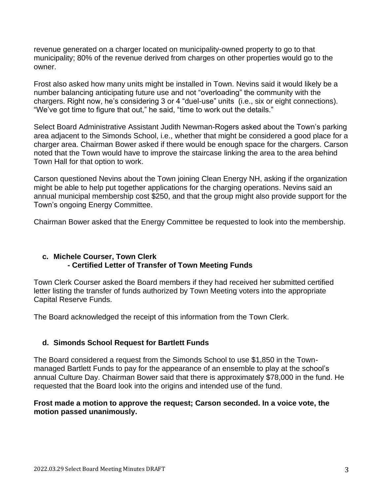revenue generated on a charger located on municipality-owned property to go to that municipality; 80% of the revenue derived from charges on other properties would go to the owner.

Frost also asked how many units might be installed in Town. Nevins said it would likely be a number balancing anticipating future use and not "overloading" the community with the chargers. Right now, he's considering 3 or 4 "duel-use" units (i.e., six or eight connections). "We've got time to figure that out," he said, "time to work out the details."

Select Board Administrative Assistant Judith Newman-Rogers asked about the Town's parking area adjacent to the Simonds School, i.e., whether that might be considered a good place for a charger area. Chairman Bower asked if there would be enough space for the chargers. Carson noted that the Town would have to improve the staircase linking the area to the area behind Town Hall for that option to work.

Carson questioned Nevins about the Town joining Clean Energy NH, asking if the organization might be able to help put together applications for the charging operations. Nevins said an annual municipal membership cost \$250, and that the group might also provide support for the Town's ongoing Energy Committee.

Chairman Bower asked that the Energy Committee be requested to look into the membership.

#### **c. Michele Courser, Town Clerk - Certified Letter of Transfer of Town Meeting Funds**

Town Clerk Courser asked the Board members if they had received her submitted certified letter listing the transfer of funds authorized by Town Meeting voters into the appropriate Capital Reserve Funds.

The Board acknowledged the receipt of this information from the Town Clerk.

# **d. Simonds School Request for Bartlett Funds**

The Board considered a request from the Simonds School to use \$1,850 in the Townmanaged Bartlett Funds to pay for the appearance of an ensemble to play at the school's annual Culture Day. Chairman Bower said that there is approximately \$78,000 in the fund. He requested that the Board look into the origins and intended use of the fund.

#### **Frost made a motion to approve the request; Carson seconded. In a voice vote, the motion passed unanimously.**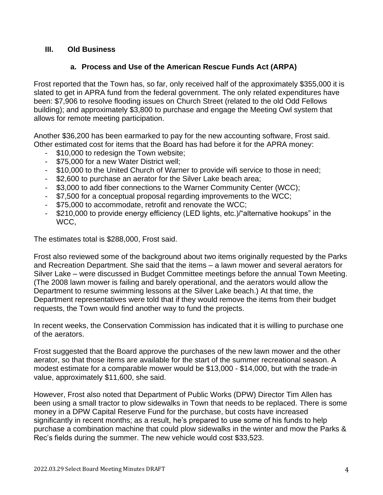## **III. Old Business**

## **a. Process and Use of the American Rescue Funds Act (ARPA)**

Frost reported that the Town has, so far, only received half of the approximately \$355,000 it is slated to get in APRA fund from the federal government. The only related expenditures have been: \$7,906 to resolve flooding issues on Church Street (related to the old Odd Fellows building); and approximately \$3,800 to purchase and engage the Meeting Owl system that allows for remote meeting participation.

Another \$36,200 has been earmarked to pay for the new accounting software, Frost said. Other estimated cost for items that the Board has had before it for the APRA money:

- \$10,000 to redesign the Town website;
- \$75,000 for a new Water District well;
- \$10,000 to the United Church of Warner to provide wifi service to those in need;
- \$2,600 to purchase an aerator for the Silver Lake beach area;
- \$3,000 to add fiber connections to the Warner Community Center (WCC);
- \$7,500 for a conceptual proposal regarding improvements to the WCC;
- \$75,000 to accommodate, retrofit and renovate the WCC;
- \$210,000 to provide energy efficiency (LED lights, etc.)/"alternative hookups" in the WCC,

The estimates total is \$288,000, Frost said.

Frost also reviewed some of the background about two items originally requested by the Parks and Recreation Department. She said that the items – a lawn mower and several aerators for Silver Lake – were discussed in Budget Committee meetings before the annual Town Meeting. (The 2008 lawn mower is failing and barely operational, and the aerators would allow the Department to resume swimming lessons at the Silver Lake beach.) At that time, the Department representatives were told that if they would remove the items from their budget requests, the Town would find another way to fund the projects.

In recent weeks, the Conservation Commission has indicated that it is willing to purchase one of the aerators.

Frost suggested that the Board approve the purchases of the new lawn mower and the other aerator, so that those items are available for the start of the summer recreational season. A modest estimate for a comparable mower would be \$13,000 - \$14,000, but with the trade-in value, approximately \$11,600, she said.

However, Frost also noted that Department of Public Works (DPW) Director Tim Allen has been using a small tractor to plow sidewalks in Town that needs to be replaced. There is some money in a DPW Capital Reserve Fund for the purchase, but costs have increased significantly in recent months; as a result, he's prepared to use some of his funds to help purchase a combination machine that could plow sidewalks in the winter and mow the Parks & Rec's fields during the summer. The new vehicle would cost \$33,523.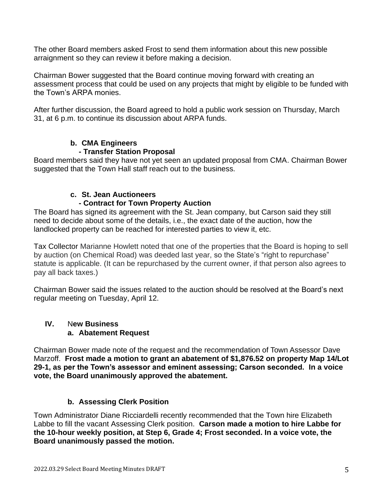The other Board members asked Frost to send them information about this new possible arraignment so they can review it before making a decision.

Chairman Bower suggested that the Board continue moving forward with creating an assessment process that could be used on any projects that might by eligible to be funded with the Town's ARPA monies.

After further discussion, the Board agreed to hold a public work session on Thursday, March 31, at 6 p.m. to continue its discussion about ARPA funds.

# **b. CMA Engineers**

# **- Transfer Station Proposal**

Board members said they have not yet seen an updated proposal from CMA. Chairman Bower suggested that the Town Hall staff reach out to the business.

# **c. St. Jean Auctioneers**

# **- Contract for Town Property Auction**

The Board has signed its agreement with the St. Jean company, but Carson said they still need to decide about some of the details, i.e., the exact date of the auction, how the landlocked property can be reached for interested parties to view it, etc.

Tax Collector Marianne Howlett noted that one of the properties that the Board is hoping to sell by auction (on Chemical Road) was deeded last year, so the State's "right to repurchase" statute is applicable. (It can be repurchased by the current owner, if that person also agrees to pay all back taxes.)

Chairman Bower said the issues related to the auction should be resolved at the Board's next regular meeting on Tuesday, April 12.

# **IV.** N**ew Business a. Abatement Request**

Chairman Bower made note of the request and the recommendation of Town Assessor Dave Marzoff. **Frost made a motion to grant an abatement of \$1,876.52 on property Map 14/Lot 29-1, as per the Town's assessor and eminent assessing; Carson seconded. In a voice vote, the Board unanimously approved the abatement.**

# **b. Assessing Clerk Position**

Town Administrator Diane Ricciardelli recently recommended that the Town hire Elizabeth Labbe to fill the vacant Assessing Clerk position. **Carson made a motion to hire Labbe for the 10-hour weekly position, at Step 6, Grade 4; Frost seconded. In a voice vote, the Board unanimously passed the motion.**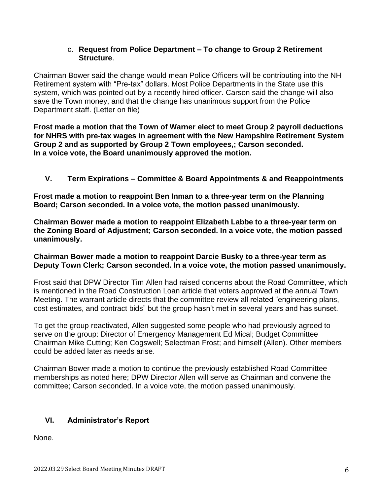#### c. **Request from Police Department – To change to Group 2 Retirement Structure**.

Chairman Bower said the change would mean Police Officers will be contributing into the NH Retirement system with "Pre-tax" dollars. Most Police Departments in the State use this system, which was pointed out by a recently hired officer. Carson said the change will also save the Town money, and that the change has unanimous support from the Police Department staff. (Letter on file)

**Frost made a motion that the Town of Warner elect to meet Group 2 payroll deductions for NHRS with pre-tax wages in agreement with the New Hampshire Retirement System Group 2 and as supported by Group 2 Town employees,; Carson seconded. In a voice vote, the Board unanimously approved the motion.**

**V. Term Expirations – Committee & Board Appointments & and Reappointments**

**Frost made a motion to reappoint Ben Inman to a three-year term on the Planning Board; Carson seconded. In a voice vote, the motion passed unanimously.**

**Chairman Bower made a motion to reappoint Elizabeth Labbe to a three-year term on the Zoning Board of Adjustment; Carson seconded. In a voice vote, the motion passed unanimously.**

#### **Chairman Bower made a motion to reappoint Darcie Busky to a three-year term as Deputy Town Clerk; Carson seconded. In a voice vote, the motion passed unanimously.**

Frost said that DPW Director Tim Allen had raised concerns about the Road Committee, which is mentioned in the Road Construction Loan article that voters approved at the annual Town Meeting. The warrant article directs that the committee review all related "engineering plans, cost estimates, and contract bids" but the group hasn't met in several years and has sunset.

To get the group reactivated, Allen suggested some people who had previously agreed to serve on the group: Director of Emergency Management Ed Mical; Budget Committee Chairman Mike Cutting; Ken Cogswell; Selectman Frost; and himself (Allen). Other members could be added later as needs arise.

Chairman Bower made a motion to continue the previously established Road Committee memberships as noted here; DPW Director Allen will serve as Chairman and convene the committee; Carson seconded. In a voice vote, the motion passed unanimously.

# **VI. Administrator's Report**

None.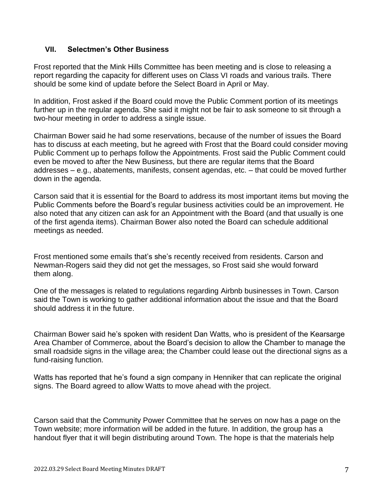#### **VII. Selectmen's Other Business**

Frost reported that the Mink Hills Committee has been meeting and is close to releasing a report regarding the capacity for different uses on Class VI roads and various trails. There should be some kind of update before the Select Board in April or May.

In addition, Frost asked if the Board could move the Public Comment portion of its meetings further up in the regular agenda. She said it might not be fair to ask someone to sit through a two-hour meeting in order to address a single issue.

Chairman Bower said he had some reservations, because of the number of issues the Board has to discuss at each meeting, but he agreed with Frost that the Board could consider moving Public Comment up to perhaps follow the Appointments. Frost said the Public Comment could even be moved to after the New Business, but there are regular items that the Board addresses – e.g., abatements, manifests, consent agendas, etc. – that could be moved further down in the agenda.

Carson said that it is essential for the Board to address its most important items but moving the Public Comments before the Board's regular business activities could be an improvement. He also noted that any citizen can ask for an Appointment with the Board (and that usually is one of the first agenda items). Chairman Bower also noted the Board can schedule additional meetings as needed.

Frost mentioned some emails that's she's recently received from residents. Carson and Newman-Rogers said they did not get the messages, so Frost said she would forward them along.

One of the messages is related to regulations regarding Airbnb businesses in Town. Carson said the Town is working to gather additional information about the issue and that the Board should address it in the future.

Chairman Bower said he's spoken with resident Dan Watts, who is president of the Kearsarge Area Chamber of Commerce, about the Board's decision to allow the Chamber to manage the small roadside signs in the village area; the Chamber could lease out the directional signs as a fund-raising function.

Watts has reported that he's found a sign company in Henniker that can replicate the original signs. The Board agreed to allow Watts to move ahead with the project.

Carson said that the Community Power Committee that he serves on now has a page on the Town website; more information will be added in the future. In addition, the group has a handout flyer that it will begin distributing around Town. The hope is that the materials help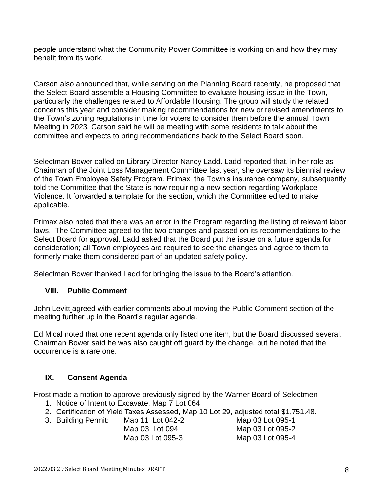people understand what the Community Power Committee is working on and how they may benefit from its work.

Carson also announced that, while serving on the Planning Board recently, he proposed that the Select Board assemble a Housing Committee to evaluate housing issue in the Town, particularly the challenges related to Affordable Housing. The group will study the related concerns this year and consider making recommendations for new or revised amendments to the Town's zoning regulations in time for voters to consider them before the annual Town Meeting in 2023. Carson said he will be meeting with some residents to talk about the committee and expects to bring recommendations back to the Select Board soon.

Selectman Bower called on Library Director Nancy Ladd. Ladd reported that, in her role as Chairman of the Joint Loss Management Committee last year, she oversaw its biennial review of the Town Employee Safety Program. Primax, the Town's insurance company, subsequently told the Committee that the State is now requiring a new section regarding Workplace Violence. It forwarded a template for the section, which the Committee edited to make applicable.

Primax also noted that there was an error in the Program regarding the listing of relevant labor laws. The Committee agreed to the two changes and passed on its recommendations to the Select Board for approval. Ladd asked that the Board put the issue on a future agenda for consideration; all Town employees are required to see the changes and agree to them to formerly make them considered part of an updated safety policy.

Selectman Bower thanked Ladd for bringing the issue to the Board's attention.

# **VIII. Public Comment**

John Levitt agreed with earlier comments about moving the Public Comment section of the meeting further up in the Board's regular agenda.

Ed Mical noted that one recent agenda only listed one item, but the Board discussed several. Chairman Bower said he was also caught off guard by the change, but he noted that the occurrence is a rare one.

# **IX. Consent Agenda**

Frost made a motion to approve previously signed by the Warner Board of Selectmen

- 1. Notice of Intent to Excavate, Map 7 Lot 064
- 2. Certification of Yield Taxes Assessed, Map 10 Lot 29, adjusted total \$1,751.48.
- 3. Building Permit: Map 11 Lot 042-2 Map 03 Lot 095-1
	- Map 03 Lot 094 Map 03 Lot 095-2 Map 03 Lot 095-3 Map 03 Lot 095-4